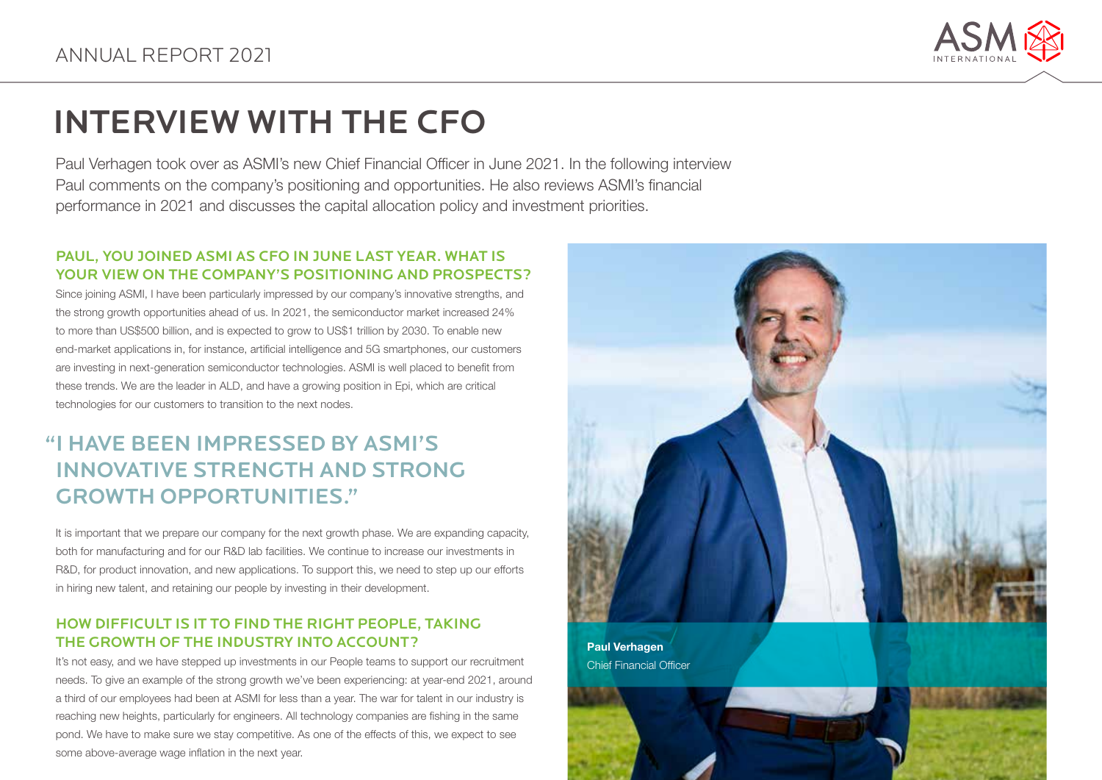

# INTERVIEW WITH THE CFO

Paul Verhagen took over as ASMI's new Chief Financial Officer in June 2021. In the following interview Paul comments on the company's positioning and opportunities. He also reviews ASMI's financial performance in 2021 and discusses the capital allocation policy and investment priorities.

### PAUL, YOU JOINED ASMI AS CFO IN JUNE LAST YEAR. WHAT IS YOUR VIEW ON THE COMPANY'S POSITIONING AND PROSPECTS?

Since joining ASMI, I have been particularly impressed by our company's innovative strengths, and the strong growth opportunities ahead of us. In 2021, the semiconductor market increased 24% to more than US\$500 billion, and is expected to grow to US\$1 trillion by 2030. To enable new end-market applications in, for instance, artificial intelligence and 5G smartphones, our customers are investing in next-generation semiconductor technologies. ASMI is well placed to benefit from these trends. We are the leader in ALD, and have a growing position in Epi, which are critical technologies for our customers to transition to the next nodes.

# INNOVATIVE STRENGTH AND STRONG GROWTH OPPORTUNITIES." "I HAVE BEEN IMPRESSED BY ASMI'S

It is important that we prepare our company for the next growth phase. We are expanding capacity, both for manufacturing and for our R&D lab facilities. We continue to increase our investments in R&D, for product innovation, and new applications. To support this, we need to step up our efforts in hiring new talent, and retaining our people by investing in their development.

## HOW DIFFICULT IS IT TO FIND THE RIGHT PEOPLE, TAKING THE GROWTH OF THE INDUSTRY INTO ACCOUNT?

It's not easy, and we have stepped up investments in our People teams to support our recruitment needs. To give an example of the strong growth we've been experiencing: at year-end 2021, around a third of our employees had been at ASMI for less than a year. The war for talent in our industry is reaching new heights, particularly for engineers. All technology companies are fishing in the same pond. We have to make sure we stay competitive. As one of the effects of this, we expect to see some above-average wage inflation in the next year.

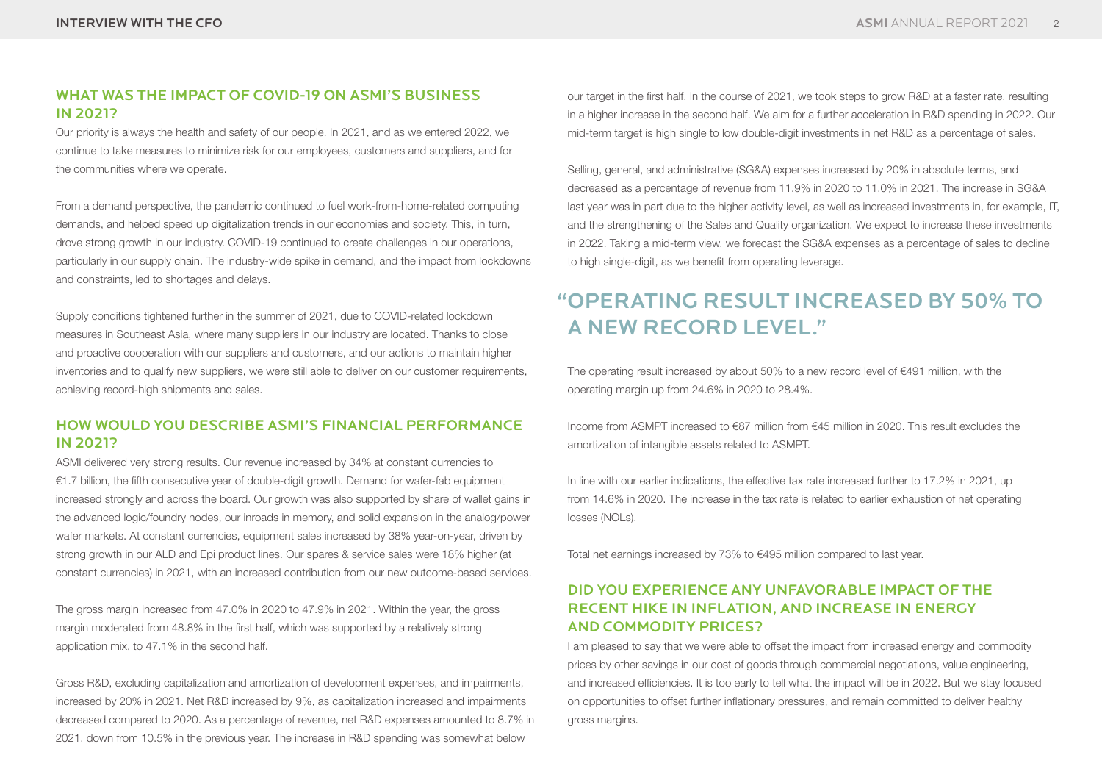#### WHAT WAS THE IMPACT OF COVID-19 ON ASMI'S BUSINESS IN 2021?

Our priority is always the health and safety of our people. In 2021, and as we entered 2022, we continue to take measures to minimize risk for our employees, customers and suppliers, and for the communities where we operate.

From a demand perspective, the pandemic continued to fuel work-from-home-related computing demands, and helped speed up digitalization trends in our economies and society. This, in turn, drove strong growth in our industry. COVID-19 continued to create challenges in our operations, particularly in our supply chain. The industry-wide spike in demand, and the impact from lockdowns and constraints, led to shortages and delays.

Supply conditions tightened further in the summer of 2021, due to COVID-related lockdown measures in Southeast Asia, where many suppliers in our industry are located. Thanks to close and proactive cooperation with our suppliers and customers, and our actions to maintain higher inventories and to qualify new suppliers, we were still able to deliver on our customer requirements, achieving record-high shipments and sales.

### HOW WOULD YOU DESCRIBE ASMI'S FINANCIAL PERFORMANCE IN 2021?

ASMI delivered very strong results. Our revenue increased by 34% at constant currencies to €1.7 billion, the fifth consecutive year of double-digit growth. Demand for wafer-fab equipment increased strongly and across the board. Our growth was also supported by share of wallet gains in the advanced logic/foundry nodes, our inroads in memory, and solid expansion in the analog/power wafer markets. At constant currencies, equipment sales increased by 38% year-on-year, driven by strong growth in our ALD and Epi product lines. Our spares & service sales were 18% higher (at constant currencies) in 2021, with an increased contribution from our new outcome-based services.

The gross margin increased from 47.0% in 2020 to 47.9% in 2021. Within the year, the gross margin moderated from 48.8% in the first half, which was supported by a relatively strong application mix, to 47.1% in the second half.

Gross R&D, excluding capitalization and amortization of development expenses, and impairments, increased by 20% in 2021. Net R&D increased by 9%, as capitalization increased and impairments decreased compared to 2020. As a percentage of revenue, net R&D expenses amounted to 8.7% in 2021, down from 10.5% in the previous year. The increase in R&D spending was somewhat below

our target in the first half. In the course of 2021, we took steps to grow R&D at a faster rate, resulting in a higher increase in the second half. We aim for a further acceleration in R&D spending in 2022. Our mid-term target is high single to low double-digit investments in net R&D as a percentage of sales.

Selling, general, and administrative (SG&A) expenses increased by 20% in absolute terms, and decreased as a percentage of revenue from 11.9% in 2020 to 11.0% in 2021. The increase in SG&A last year was in part due to the higher activity level, as well as increased investments in, for example, IT, and the strengthening of the Sales and Quality organization. We expect to increase these investments in 2022. Taking a mid-term view, we forecast the SG&A expenses as a percentage of sales to decline to high single-digit, as we benefit from operating leverage.

# A NEW RECORD LEVEL." " OPERATING RESULT INCREASED BY 50% TO

The operating result increased by about 50% to a new record level of €491 million, with the operating margin up from 24.6% in 2020 to 28.4%.

Income from ASMPT increased to €87 million from €45 million in 2020. This result excludes the amortization of intangible assets related to ASMPT.

In line with our earlier indications, the effective tax rate increased further to 17.2% in 2021, up from 14.6% in 2020. The increase in the tax rate is related to earlier exhaustion of net operating losses (NOLs).

Total net earnings increased by 73% to €495 million compared to last year.

### DID YOU EXPERIENCE ANY UNFAVORABLE IMPACT OF THE RECENT HIKE IN INFLATION, AND INCREASE IN ENERGY AND COMMODITY PRICES?

I am pleased to say that we were able to offset the impact from increased energy and commodity prices by other savings in our cost of goods through commercial negotiations, value engineering, and increased efficiencies. It is too early to tell what the impact will be in 2022. But we stay focused on opportunities to offset further inflationary pressures, and remain committed to deliver healthy gross margins.